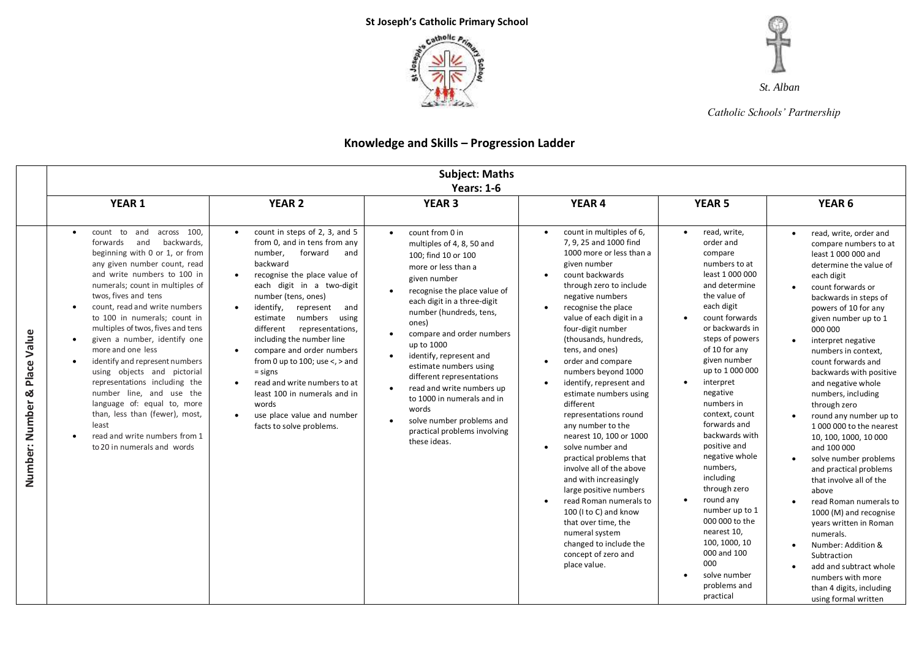



*Catholic Schools' Partnership*

## **Knowledge and Skills – Progression Ladder**

|                                 |                                                                                                                                                                                                                                                                                                                                                                                                                                                                                                                                                                                                                                                                                                                 |                                                                                                                                                                                                                                                                                                                                                                                                                                                                                                                                                                                        | <b>Subject: Maths</b><br><b>Years: 1-6</b>                                                                                                                                                                                                                                                                                                                                                                                                                                                                            |                                                                                                                                                                                                                                                                                                                                                                                                                                                                                                                                                                                                                                                                                                                                                                                     |                                                                                                                                                                                                                                                                                                                                                                                                                                                                                                                                                                                         |                                                                                                                                                                                                                                                                                                                                                                                                                                                                                                                                                                                                                                                                                                                                                                                                          |
|---------------------------------|-----------------------------------------------------------------------------------------------------------------------------------------------------------------------------------------------------------------------------------------------------------------------------------------------------------------------------------------------------------------------------------------------------------------------------------------------------------------------------------------------------------------------------------------------------------------------------------------------------------------------------------------------------------------------------------------------------------------|----------------------------------------------------------------------------------------------------------------------------------------------------------------------------------------------------------------------------------------------------------------------------------------------------------------------------------------------------------------------------------------------------------------------------------------------------------------------------------------------------------------------------------------------------------------------------------------|-----------------------------------------------------------------------------------------------------------------------------------------------------------------------------------------------------------------------------------------------------------------------------------------------------------------------------------------------------------------------------------------------------------------------------------------------------------------------------------------------------------------------|-------------------------------------------------------------------------------------------------------------------------------------------------------------------------------------------------------------------------------------------------------------------------------------------------------------------------------------------------------------------------------------------------------------------------------------------------------------------------------------------------------------------------------------------------------------------------------------------------------------------------------------------------------------------------------------------------------------------------------------------------------------------------------------|-----------------------------------------------------------------------------------------------------------------------------------------------------------------------------------------------------------------------------------------------------------------------------------------------------------------------------------------------------------------------------------------------------------------------------------------------------------------------------------------------------------------------------------------------------------------------------------------|----------------------------------------------------------------------------------------------------------------------------------------------------------------------------------------------------------------------------------------------------------------------------------------------------------------------------------------------------------------------------------------------------------------------------------------------------------------------------------------------------------------------------------------------------------------------------------------------------------------------------------------------------------------------------------------------------------------------------------------------------------------------------------------------------------|
|                                 | <b>YEAR 1</b>                                                                                                                                                                                                                                                                                                                                                                                                                                                                                                                                                                                                                                                                                                   | <b>YEAR 2</b>                                                                                                                                                                                                                                                                                                                                                                                                                                                                                                                                                                          | <b>YEAR 3</b>                                                                                                                                                                                                                                                                                                                                                                                                                                                                                                         | YEAR 4                                                                                                                                                                                                                                                                                                                                                                                                                                                                                                                                                                                                                                                                                                                                                                              | <b>YEAR 5</b>                                                                                                                                                                                                                                                                                                                                                                                                                                                                                                                                                                           | YEAR <sub>6</sub>                                                                                                                                                                                                                                                                                                                                                                                                                                                                                                                                                                                                                                                                                                                                                                                        |
| Place Value<br>Number: Number & | count to and<br>across 100.<br>$\bullet$<br>backwards,<br>forwards<br>and<br>beginning with 0 or 1, or from<br>any given number count, read<br>and write numbers to 100 in<br>numerals; count in multiples of<br>twos, fives and tens<br>count, read and write numbers<br>$\bullet$<br>to 100 in numerals; count in<br>multiples of twos, fives and tens<br>given a number, identify one<br>$\bullet$<br>more and one less<br>identify and represent numbers<br>$\bullet$<br>using objects and pictorial<br>representations including the<br>number line, and use the<br>language of: equal to, more<br>than, less than (fewer), most,<br>least<br>read and write numbers from 1<br>to 20 in numerals and words | count in steps of 2, 3, and 5<br>$\bullet$<br>from 0, and in tens from any<br>forward<br>number.<br>and<br>backward<br>recognise the place value of<br>each digit in a two-digit<br>number (tens, ones)<br>identify,<br>represent<br>and<br>$\bullet$<br>numbers<br>using<br>estimate<br>different<br>representations,<br>including the number line<br>compare and order numbers<br>from 0 up to 100; use $\lt$ , $>$ and<br>$=$ signs<br>read and write numbers to at<br>least 100 in numerals and in<br>words<br>use place value and number<br>$\bullet$<br>facts to solve problems. | count from 0 in<br>$\bullet$<br>multiples of 4, 8, 50 and<br>100; find 10 or 100<br>more or less than a<br>given number<br>recognise the place value of<br>each digit in a three-digit<br>number (hundreds, tens,<br>ones)<br>compare and order numbers<br>$\bullet$<br>up to 1000<br>identify, represent and<br>estimate numbers using<br>different representations<br>read and write numbers up<br>to 1000 in numerals and in<br>words<br>solve number problems and<br>practical problems involving<br>these ideas. | count in multiples of 6,<br>7, 9, 25 and 1000 find<br>1000 more or less than a<br>given number<br>count backwards<br>through zero to include<br>negative numbers<br>recognise the place<br>value of each digit in a<br>four-digit number<br>(thousands, hundreds,<br>tens, and ones)<br>order and compare<br>numbers beyond 1000<br>identify, represent and<br>estimate numbers using<br>different<br>representations round<br>any number to the<br>nearest 10, 100 or 1000<br>solve number and<br>$\bullet$<br>practical problems that<br>involve all of the above<br>and with increasingly<br>large positive numbers<br>read Roman numerals to<br>100 (I to C) and know<br>that over time, the<br>numeral system<br>changed to include the<br>concept of zero and<br>place value. | read, write,<br>$\bullet$<br>order and<br>compare<br>numbers to at<br>least 1 000 000<br>and determine<br>the value of<br>each digit<br>count forwards<br>or backwards in<br>steps of powers<br>of 10 for any<br>given number<br>up to 1 000 000<br>interpret<br>$\bullet$<br>negative<br>numbers in<br>context, count<br>forwards and<br>backwards with<br>positive and<br>negative whole<br>numbers,<br>including<br>through zero<br>round any<br>number up to 1<br>000 000 to the<br>nearest 10,<br>100, 1000, 10<br>000 and 100<br>000<br>solve number<br>problems and<br>practical | read, write, order and<br>compare numbers to at<br>least 1 000 000 and<br>determine the value of<br>each digit<br>count forwards or<br>backwards in steps of<br>powers of 10 for any<br>given number up to 1<br>000 000<br>interpret negative<br>numbers in context,<br>count forwards and<br>backwards with positive<br>and negative whole<br>numbers, including<br>through zero<br>round any number up to<br>1000 000 to the nearest<br>10, 100, 1000, 10 000<br>and 100 000<br>solve number problems<br>and practical problems<br>that involve all of the<br>above<br>read Roman numerals to<br>1000 (M) and recognise<br>years written in Roman<br>numerals.<br>Number: Addition &<br>Subtraction<br>add and subtract whole<br>numbers with more<br>than 4 digits, including<br>using formal written |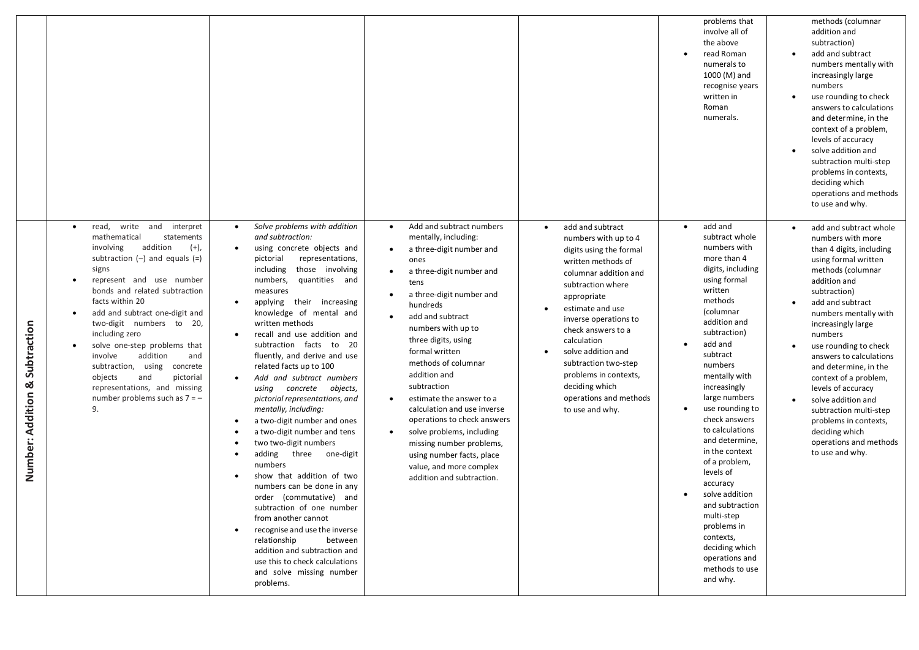|                                   |                                                                                                                                                                                                                                                                                                                                                                                                                                                                                                                                   |                                                                                                                                                                                                                                                                                                                                                                                                                                                                                                                                                                                                                                                                                                                                                                                                                                                                                                                                                                                                                     |                                                                                                                                                                                                                                                                                                                                                                                                                                                                                                                                                                                                                    |                                                                                                                                                                                                                                                                                                                                                                                                          | problems that<br>involve all of<br>the above<br>read Roman<br>$\bullet$<br>numerals to<br>1000 (M) and<br>recognise years<br>written in<br>Roman<br>numerals.                                                                                                                                                                                                                                                                                                                                                                                           | methods (columnar<br>addition and<br>subtraction)<br>add and subtract<br>numbers mentally with<br>increasingly large<br>numbers<br>use rounding to check<br>answers to calculations<br>and determine, in the<br>context of a problem,<br>levels of accuracy<br>solve addition and<br>subtraction multi-step<br>problems in contexts,<br>deciding which<br>operations and methods<br>to use and why.                                                                                                    |
|-----------------------------------|-----------------------------------------------------------------------------------------------------------------------------------------------------------------------------------------------------------------------------------------------------------------------------------------------------------------------------------------------------------------------------------------------------------------------------------------------------------------------------------------------------------------------------------|---------------------------------------------------------------------------------------------------------------------------------------------------------------------------------------------------------------------------------------------------------------------------------------------------------------------------------------------------------------------------------------------------------------------------------------------------------------------------------------------------------------------------------------------------------------------------------------------------------------------------------------------------------------------------------------------------------------------------------------------------------------------------------------------------------------------------------------------------------------------------------------------------------------------------------------------------------------------------------------------------------------------|--------------------------------------------------------------------------------------------------------------------------------------------------------------------------------------------------------------------------------------------------------------------------------------------------------------------------------------------------------------------------------------------------------------------------------------------------------------------------------------------------------------------------------------------------------------------------------------------------------------------|----------------------------------------------------------------------------------------------------------------------------------------------------------------------------------------------------------------------------------------------------------------------------------------------------------------------------------------------------------------------------------------------------------|---------------------------------------------------------------------------------------------------------------------------------------------------------------------------------------------------------------------------------------------------------------------------------------------------------------------------------------------------------------------------------------------------------------------------------------------------------------------------------------------------------------------------------------------------------|--------------------------------------------------------------------------------------------------------------------------------------------------------------------------------------------------------------------------------------------------------------------------------------------------------------------------------------------------------------------------------------------------------------------------------------------------------------------------------------------------------|
| & Subtraction<br>Number: Addition | read,<br>write and interpret<br>$\bullet$<br>mathematical<br>statements<br>involving<br>addition<br>$(+),$<br>subtraction $(-)$ and equals $(=)$<br>signs<br>represent and use number<br>bonds and related subtraction<br>facts within 20<br>add and subtract one-digit and<br>two-digit numbers to 20,<br>including zero<br>solve one-step problems that<br>addition<br>involve<br>and<br>subtraction, using<br>concrete<br>objects<br>and<br>pictorial<br>representations, and missing<br>number problems such as $7 = -$<br>9. | Solve problems with addition<br>$\bullet$<br>and subtraction:<br>using concrete objects and<br>pictorial<br>representations,<br>including<br>those involving<br>numbers,<br>quantities and<br>measures<br>applying their increasing<br>٠<br>knowledge of mental and<br>written methods<br>recall and use addition and<br>$\bullet$<br>subtraction facts to 20<br>fluently, and derive and use<br>related facts up to 100<br>Add and subtract numbers<br>$\bullet$<br>using concrete objects,<br>pictorial representations, and<br>mentally, including:<br>a two-digit number and ones<br>$\bullet$<br>a two-digit number and tens<br>two two-digit numbers<br>adding<br>three one-digit<br>numbers<br>show that addition of two<br>numbers can be done in any<br>order (commutative) and<br>subtraction of one number<br>from another cannot<br>recognise and use the inverse<br>relationship<br>between<br>addition and subtraction and<br>use this to check calculations<br>and solve missing number<br>problems. | Add and subtract numbers<br>$\bullet$<br>mentally, including:<br>a three-digit number and<br>$\bullet$<br>ones<br>a three-digit number and<br>$\bullet$<br>tens<br>a three-digit number and<br>hundreds<br>add and subtract<br>$\bullet$<br>numbers with up to<br>three digits, using<br>formal written<br>methods of columnar<br>addition and<br>subtraction<br>estimate the answer to a<br>$\bullet$<br>calculation and use inverse<br>operations to check answers<br>solve problems, including<br>missing number problems,<br>using number facts, place<br>value, and more complex<br>addition and subtraction. | add and subtract<br>$\bullet$<br>numbers with up to 4<br>digits using the formal<br>written methods of<br>columnar addition and<br>subtraction where<br>appropriate<br>estimate and use<br>$\bullet$<br>inverse operations to<br>check answers to a<br>calculation<br>solve addition and<br>subtraction two-step<br>problems in contexts,<br>deciding which<br>operations and methods<br>to use and why. | add and<br>$\bullet$<br>subtract whole<br>numbers with<br>more than 4<br>digits, including<br>using formal<br>written<br>methods<br>(columnar<br>addition and<br>subtraction)<br>add and<br>subtract<br>numbers<br>mentally with<br>increasingly<br>large numbers<br>use rounding to<br>check answers<br>to calculations<br>and determine,<br>in the context<br>of a problem,<br>levels of<br>accuracy<br>solve addition<br>and subtraction<br>multi-step<br>problems in<br>contexts,<br>deciding which<br>operations and<br>methods to use<br>and why. | add and subtract whole<br>numbers with more<br>than 4 digits, including<br>using formal written<br>methods (columnar<br>addition and<br>subtraction)<br>add and subtract<br>numbers mentally with<br>increasingly large<br>numbers<br>use rounding to check<br>answers to calculations<br>and determine, in the<br>context of a problem,<br>levels of accuracy<br>solve addition and<br>subtraction multi-step<br>problems in contexts,<br>deciding which<br>operations and methods<br>to use and why. |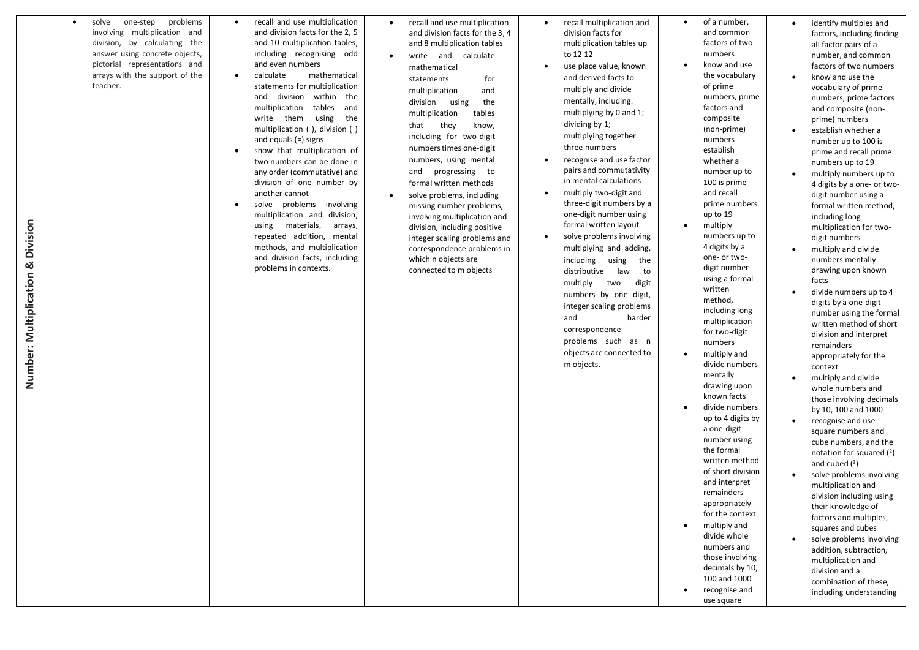| problems<br>solve<br>one-step<br>$\bullet$<br>involving multiplication and<br>division, by calculating the<br>answer using concrete objects,<br>pictorial representations and<br>arrays with the support of the<br>teacher. | recall and use multiplication<br>$\bullet$<br>and division facts for the 2, 5<br>and 10 multiplication tables,<br>including recognising odd<br>and even numbers<br>calculate<br>mathematical<br>$\bullet$<br>statements for multiplication<br>division within the<br>and<br>tables and<br>multiplication<br>write them<br>using<br>the<br>multiplication (), division ()<br>and equals $(=)$ signs<br>show that multiplication of<br>$\bullet$<br>two numbers can be done in<br>any order (commutative) and<br>division of one number by<br>another cannot<br>solve problems involving<br>$\bullet$<br>multiplication and division,<br>using materials,<br>arrays,<br>repeated addition, mental<br>methods, and multiplication<br>and division facts, including<br>problems in contexts. | recall and use multiplication<br>$\bullet$<br>and division facts for the 3, 4<br>and 8 multiplication tables<br>write and calculate<br>$\bullet$<br>mathematical<br>statements<br>for<br>multiplication<br>and<br>the<br>division<br>using<br>tables<br>multiplication<br>they<br>know,<br>that<br>including for two-digit<br>numbers times one-digit<br>numbers, using mental<br>and progressing to<br>formal written methods<br>solve problems, including<br>$\bullet$<br>missing number problems,<br>involving multiplication and<br>division, including positive<br>integer scaling problems and<br>correspondence problems in<br>which n objects are<br>connected to m objects | recall multiplication and<br>$\bullet$<br>division facts for<br>multiplication tables up<br>to 12 12<br>use place value, known<br>$\bullet$<br>and derived facts to<br>multiply and divide<br>mentally, including:<br>multiplying by 0 and 1;<br>dividing by 1;<br>multiplying together<br>three numbers<br>recognise and use factor<br>٠<br>pairs and commutativity<br>in mental calculations<br>multiply two-digit and<br>$\bullet$<br>three-digit numbers by a<br>one-digit number using<br>formal written layout<br>solve problems involving<br>$\bullet$<br>multiplying and adding,<br>including<br>using<br>the<br>distributive<br>law<br>to<br>multiply<br>two<br>digit<br>numbers by one digit,<br>integer scaling problems<br>and<br>harder<br>correspondence<br>problems such as n<br>objects are connected to<br>m objects. | of a number,<br>$\bullet$<br>and common<br>factors of two<br>numbers<br>know and use<br>the vocabulary<br>of prime<br>numbers, prime<br>factors and<br>composite<br>(non-prime)<br>numbers<br>establish<br>whether a<br>number up to<br>100 is prime<br>and recall<br>prime numbers<br>up to 19<br>multiply<br>$\bullet$<br>numbers up to<br>4 digits by a<br>one- or two-<br>digit number<br>using a formal<br>written<br>method,<br>including long<br>multiplication<br>for two-digit<br>numbers<br>multiply and<br>divide numbers<br>mentally<br>drawing upon<br>known facts<br>divide numbers<br>up to 4 digits by<br>a one-digit<br>number using<br>the formal<br>written method<br>of short division<br>and interpret<br>remainders<br>appropriately<br>for the context<br>multiply and<br>divide whole<br>numbers and<br>those involving<br>decimals by 10,<br>100 and 1000<br>recognise and<br>use square | identify multiples and<br>factors, including finding<br>all factor pairs of a<br>number, and common<br>factors of two numbers<br>know and use the<br>vocabulary of prime<br>numbers, prime factors<br>and composite (non-<br>prime) numbers<br>establish whether a<br>number up to 100 is<br>prime and recall prime<br>numbers up to 19<br>multiply numbers up to<br>4 digits by a one- or two-<br>digit number using a<br>formal written method,<br>including long<br>multiplication for two-<br>digit numbers<br>multiply and divide<br>numbers mentally<br>drawing upon known<br>facts<br>divide numbers up to 4<br>digits by a one-digit<br>number using the formal<br>written method of short<br>division and interpret<br>remainders<br>appropriately for the<br>context<br>multiply and divide<br>whole numbers and<br>those involving decimals<br>by 10, 100 and 1000<br>recognise and use<br>square numbers and<br>cube numbers, and the<br>notation for squared $(2)$<br>and cubed $(3)$<br>solve problems involving<br>multiplication and<br>division including using<br>their knowledge of<br>factors and multiples,<br>squares and cubes<br>solve problems involving<br>addition, subtraction,<br>multiplication and<br>division and a<br>combination of these,<br>including understanding |
|-----------------------------------------------------------------------------------------------------------------------------------------------------------------------------------------------------------------------------|------------------------------------------------------------------------------------------------------------------------------------------------------------------------------------------------------------------------------------------------------------------------------------------------------------------------------------------------------------------------------------------------------------------------------------------------------------------------------------------------------------------------------------------------------------------------------------------------------------------------------------------------------------------------------------------------------------------------------------------------------------------------------------------|-------------------------------------------------------------------------------------------------------------------------------------------------------------------------------------------------------------------------------------------------------------------------------------------------------------------------------------------------------------------------------------------------------------------------------------------------------------------------------------------------------------------------------------------------------------------------------------------------------------------------------------------------------------------------------------|----------------------------------------------------------------------------------------------------------------------------------------------------------------------------------------------------------------------------------------------------------------------------------------------------------------------------------------------------------------------------------------------------------------------------------------------------------------------------------------------------------------------------------------------------------------------------------------------------------------------------------------------------------------------------------------------------------------------------------------------------------------------------------------------------------------------------------------|-------------------------------------------------------------------------------------------------------------------------------------------------------------------------------------------------------------------------------------------------------------------------------------------------------------------------------------------------------------------------------------------------------------------------------------------------------------------------------------------------------------------------------------------------------------------------------------------------------------------------------------------------------------------------------------------------------------------------------------------------------------------------------------------------------------------------------------------------------------------------------------------------------------------|---------------------------------------------------------------------------------------------------------------------------------------------------------------------------------------------------------------------------------------------------------------------------------------------------------------------------------------------------------------------------------------------------------------------------------------------------------------------------------------------------------------------------------------------------------------------------------------------------------------------------------------------------------------------------------------------------------------------------------------------------------------------------------------------------------------------------------------------------------------------------------------------------------------------------------------------------------------------------------------------------------------------------------------------------------------------------------------------------------------------------------------------------------------------------------------------------------------------------------------------------------------------------------------------------------|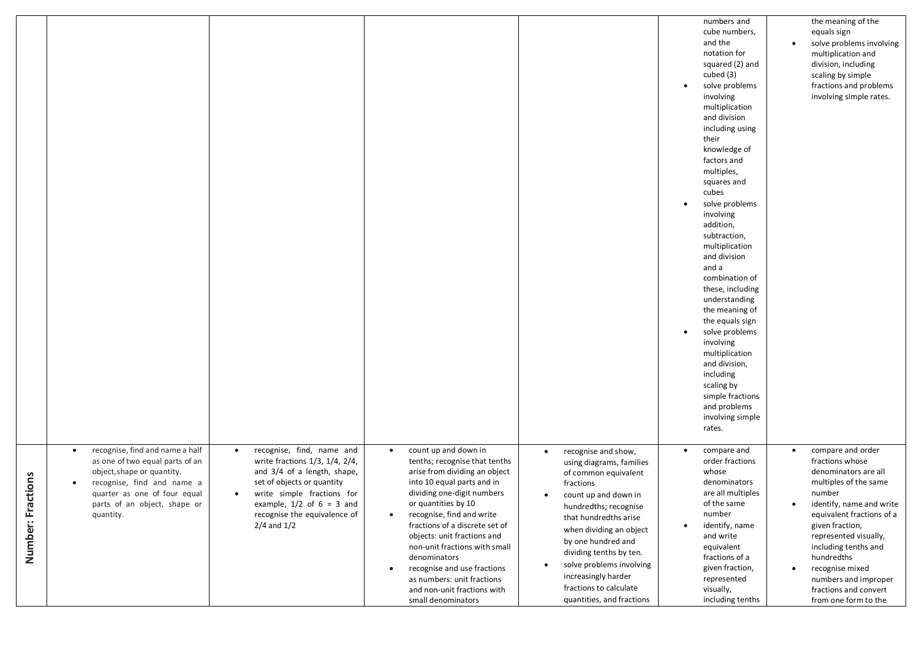|                       |                                                                                                                                                                                                                          |                                                                                                                                                                                                                                                                      |                                                                                                                                                                                                                                                                                                                                                                                                                                                                                   |                                                                                                                                                                                                                                                                                                                                                                                     | numbers and<br>cube numbers,<br>and the<br>notation for<br>squared (2) and<br>cubed (3)<br>solve problems<br>$\bullet$<br>involving<br>multiplication<br>and division<br>including using<br>their<br>knowledge of<br>factors and<br>multiples,<br>squares and<br>cubes<br>solve problems<br>$\bullet$<br>involving<br>addition,<br>subtraction,<br>multiplication<br>and division<br>and a<br>combination of<br>these, including<br>understanding<br>the meaning of<br>the equals sign<br>solve problems<br>involving<br>multiplication<br>and division,<br>including<br>scaling by<br>simple fractions<br>and problems<br>involving simple<br>rates. | the meaning of the<br>equals sign<br>solve problems involving<br>multiplication and<br>division, including<br>scaling by simple<br>fractions and problems<br>involving simple rates.                                                                                                                                                   |
|-----------------------|--------------------------------------------------------------------------------------------------------------------------------------------------------------------------------------------------------------------------|----------------------------------------------------------------------------------------------------------------------------------------------------------------------------------------------------------------------------------------------------------------------|-----------------------------------------------------------------------------------------------------------------------------------------------------------------------------------------------------------------------------------------------------------------------------------------------------------------------------------------------------------------------------------------------------------------------------------------------------------------------------------|-------------------------------------------------------------------------------------------------------------------------------------------------------------------------------------------------------------------------------------------------------------------------------------------------------------------------------------------------------------------------------------|-------------------------------------------------------------------------------------------------------------------------------------------------------------------------------------------------------------------------------------------------------------------------------------------------------------------------------------------------------------------------------------------------------------------------------------------------------------------------------------------------------------------------------------------------------------------------------------------------------------------------------------------------------|----------------------------------------------------------------------------------------------------------------------------------------------------------------------------------------------------------------------------------------------------------------------------------------------------------------------------------------|
| ctions<br>Number: Fra | recognise, find and name a half<br>$\bullet$<br>as one of two equal parts of an<br>object, shape or quantity.<br>recognise, find and name a<br>quarter as one of four equal<br>parts of an object, shape or<br>quantity. | recognise, find, name and<br>$\bullet$<br>write fractions 1/3, 1/4, 2/4,<br>and 3/4 of a length, shape,<br>set of objects or quantity<br>write simple fractions for<br>$\bullet$<br>example, $1/2$ of $6 = 3$ and<br>recognise the equivalence of<br>$2/4$ and $1/2$ | count up and down in<br>$\bullet$<br>tenths; recognise that tenths<br>arise from dividing an object<br>into 10 equal parts and in<br>dividing one-digit numbers<br>or quantities by 10<br>recognise, find and write<br>$\bullet$<br>fractions of a discrete set of<br>objects: unit fractions and<br>non-unit fractions with small<br>denominators<br>recognise and use fractions<br>$\bullet$<br>as numbers: unit fractions<br>and non-unit fractions with<br>small denominators | recognise and show,<br>$\bullet$<br>using diagrams, families<br>of common equivalent<br>fractions<br>count up and down in<br>٠<br>hundredths; recognise<br>that hundredths arise<br>when dividing an object<br>by one hundred and<br>dividing tenths by ten.<br>solve problems involving<br>$\bullet$<br>increasingly harder<br>fractions to calculate<br>quantities, and fractions | compare and<br>order fractions<br>whose<br>denominators<br>are all multiples<br>of the same<br>number<br>identify, name<br>$\bullet$<br>and write<br>equivalent<br>fractions of a<br>given fraction,<br>represented<br>visually,<br>including tenths                                                                                                                                                                                                                                                                                                                                                                                                  | compare and order<br>fractions whose<br>denominators are all<br>multiples of the same<br>number<br>identify, name and write<br>equivalent fractions of a<br>given fraction,<br>represented visually,<br>including tenths and<br>hundredths<br>recognise mixed<br>numbers and improper<br>fractions and convert<br>from one form to the |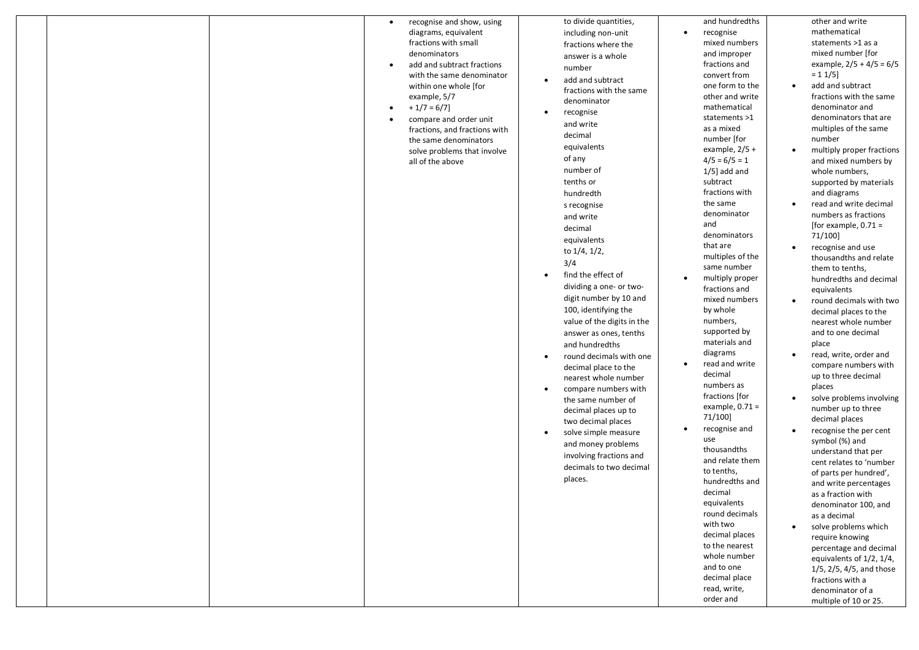|  | diagrams, equivalent<br>including non-unit<br>fractions with small<br>fractions where the<br>denominators<br>answer is a whole<br>add and subtract fractions<br>number<br>with the same denominator<br>add and subtract<br>$\bullet$<br>within one whole [for<br>fractions with the same<br>example, 5/7<br>denominator<br>$+1/7=6/7$<br>$\bullet$<br>recognise<br>$\bullet$<br>compare and order unit<br>$\bullet$<br>and write<br>fractions, and fractions with<br>decimal<br>the same denominators<br>equivalents<br>solve problems that involve<br>of any<br>all of the above<br>number of<br>tenths or<br>hundredth<br>s recognise<br>and write<br>decimal<br>equivalents<br>to 1/4, 1/2,<br>3/4<br>find the effect of<br>$\bullet$<br>dividing a one- or two-<br>digit number by 10 and<br>100, identifying the<br>value of the digits in the<br>answer as ones, tenths<br>and hundredths<br>round decimals with one<br>$\bullet$<br>decimal place to the<br>nearest whole number | recognise<br>$\bullet$<br>mixed numbers<br>and improper<br>fractions and<br>convert from<br>one form to the<br>other and write<br>mathematical<br>statements >1<br>as a mixed<br>number [for<br>example, $2/5 +$<br>$4/5 = 6/5 = 1$<br>$1/5$ ] add and<br>subtract<br>fractions with<br>the same<br>denominator<br>and<br>denominators<br>that are<br>multiples of the<br>same number<br>multiply proper<br>$\bullet$<br>fractions and<br>mixed numbers<br>by whole<br>numbers,<br>supported by<br>materials and<br>diagrams<br>read and write<br>$\bullet$<br>decimal | mathematical<br>statements >1 as a<br>mixed number [for<br>example, $2/5 + 4/5 = 6/5$<br>$= 11/5$<br>add and subtract<br>$\bullet$<br>fractions with the same<br>denominator and<br>denominators that are<br>multiples of the same<br>number<br>multiply proper fractions<br>and mixed numbers by<br>whole numbers,<br>supported by materials<br>and diagrams<br>read and write decimal<br>numbers as fractions<br>[for example, $0.71 =$<br>71/100]<br>recognise and use<br>$\bullet$<br>thousandths and relate<br>them to tenths,<br>hundredths and decimal<br>equivalents<br>round decimals with two<br>decimal places to the<br>nearest whole number<br>and to one decimal<br>place<br>read, write, order and<br>compare numbers with<br>up to three decimal |
|--|-----------------------------------------------------------------------------------------------------------------------------------------------------------------------------------------------------------------------------------------------------------------------------------------------------------------------------------------------------------------------------------------------------------------------------------------------------------------------------------------------------------------------------------------------------------------------------------------------------------------------------------------------------------------------------------------------------------------------------------------------------------------------------------------------------------------------------------------------------------------------------------------------------------------------------------------------------------------------------------------|------------------------------------------------------------------------------------------------------------------------------------------------------------------------------------------------------------------------------------------------------------------------------------------------------------------------------------------------------------------------------------------------------------------------------------------------------------------------------------------------------------------------------------------------------------------------|------------------------------------------------------------------------------------------------------------------------------------------------------------------------------------------------------------------------------------------------------------------------------------------------------------------------------------------------------------------------------------------------------------------------------------------------------------------------------------------------------------------------------------------------------------------------------------------------------------------------------------------------------------------------------------------------------------------------------------------------------------------|
|--|-----------------------------------------------------------------------------------------------------------------------------------------------------------------------------------------------------------------------------------------------------------------------------------------------------------------------------------------------------------------------------------------------------------------------------------------------------------------------------------------------------------------------------------------------------------------------------------------------------------------------------------------------------------------------------------------------------------------------------------------------------------------------------------------------------------------------------------------------------------------------------------------------------------------------------------------------------------------------------------------|------------------------------------------------------------------------------------------------------------------------------------------------------------------------------------------------------------------------------------------------------------------------------------------------------------------------------------------------------------------------------------------------------------------------------------------------------------------------------------------------------------------------------------------------------------------------|------------------------------------------------------------------------------------------------------------------------------------------------------------------------------------------------------------------------------------------------------------------------------------------------------------------------------------------------------------------------------------------------------------------------------------------------------------------------------------------------------------------------------------------------------------------------------------------------------------------------------------------------------------------------------------------------------------------------------------------------------------------|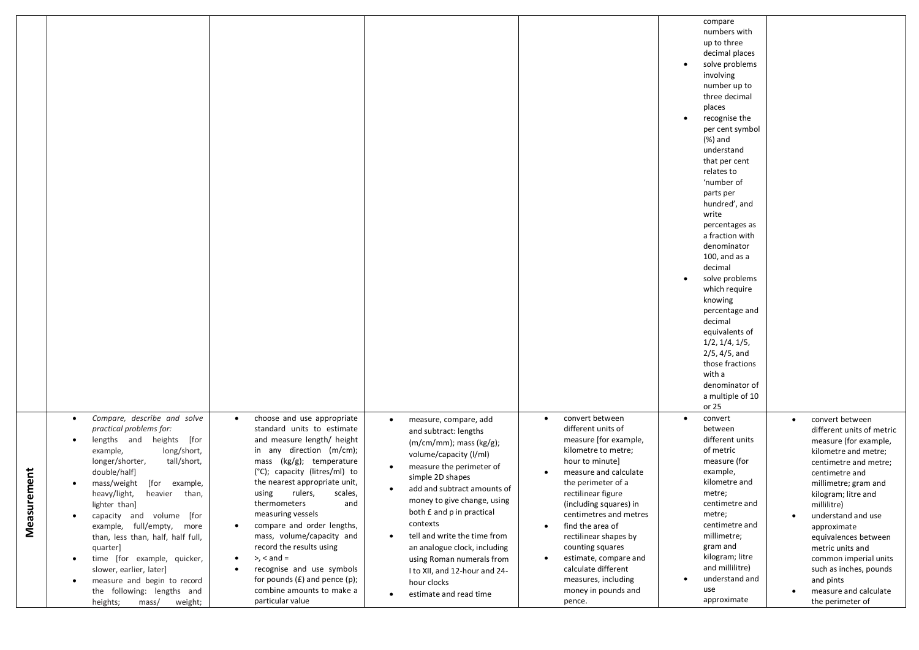|                 |                                                                                                                                                                                                                                                                                                                                                                                                                                                                                                                                                                                        |                                                                                                                                                                                                                                                                                                                                                                                                                                                                                                                                                     |                                                                                                                                                                                                                                                                                                                                                                                                                                                                                     |                                                                                                                                                                                                                                                                                                                                                                                                                                                                | compare<br>numbers with<br>up to three<br>decimal places<br>solve problems<br>involving<br>number up to<br>three decimal<br>places<br>recognise the<br>$\bullet$<br>per cent symbol<br>(%) and<br>understand<br>that per cent<br>relates to<br>'number of<br>parts per<br>hundred', and<br>write<br>percentages as<br>a fraction with<br>denominator<br>$100$ , and as a<br>decimal<br>solve problems<br>$\bullet$<br>which require<br>knowing<br>percentage and<br>decimal<br>equivalents of<br>1/2, 1/4, 1/5,<br>$2/5, 4/5,$ and<br>those fractions<br>with a<br>denominator of<br>a multiple of 10<br>or 25 |                                                                                                                                                                                                                                                                                                                                                                                                      |
|-----------------|----------------------------------------------------------------------------------------------------------------------------------------------------------------------------------------------------------------------------------------------------------------------------------------------------------------------------------------------------------------------------------------------------------------------------------------------------------------------------------------------------------------------------------------------------------------------------------------|-----------------------------------------------------------------------------------------------------------------------------------------------------------------------------------------------------------------------------------------------------------------------------------------------------------------------------------------------------------------------------------------------------------------------------------------------------------------------------------------------------------------------------------------------------|-------------------------------------------------------------------------------------------------------------------------------------------------------------------------------------------------------------------------------------------------------------------------------------------------------------------------------------------------------------------------------------------------------------------------------------------------------------------------------------|----------------------------------------------------------------------------------------------------------------------------------------------------------------------------------------------------------------------------------------------------------------------------------------------------------------------------------------------------------------------------------------------------------------------------------------------------------------|----------------------------------------------------------------------------------------------------------------------------------------------------------------------------------------------------------------------------------------------------------------------------------------------------------------------------------------------------------------------------------------------------------------------------------------------------------------------------------------------------------------------------------------------------------------------------------------------------------------|------------------------------------------------------------------------------------------------------------------------------------------------------------------------------------------------------------------------------------------------------------------------------------------------------------------------------------------------------------------------------------------------------|
| ement<br>Measur | Compare, describe and solve<br>$\bullet$<br>practical problems for:<br>lengths and heights [for<br>$\bullet$<br>long/short,<br>example,<br>longer/shorter,<br>tall/short,<br>double/half]<br>mass/weight<br>[for<br>example,<br>heavy/light,<br>heavier than,<br>lighter than]<br>capacity and volume [for<br>$\bullet$<br>example, full/empty, more<br>than, less than, half, half full,<br>quarter]<br>time [for example, quicker,<br>$\bullet$<br>slower, earlier, later]<br>measure and begin to record<br>$\bullet$<br>the following: lengths and<br>mass/<br>weight;<br>heights; | choose and use appropriate<br>standard units to estimate<br>and measure length/ height<br>in any direction (m/cm);<br>mass (kg/g); temperature<br>(°C); capacity (litres/ml) to<br>the nearest appropriate unit,<br>using<br>rulers,<br>scales,<br>thermometers<br>and<br>measuring vessels<br>compare and order lengths,<br>$\bullet$<br>mass, volume/capacity and<br>record the results using<br>$> x <$ and $=$<br>$\bullet$<br>recognise and use symbols<br>for pounds $(E)$ and pence $(p)$ ;<br>combine amounts to make a<br>particular value | measure, compare, add<br>$\bullet$<br>and subtract: lengths<br>$(m/cm/mm)$ ; mass $(kg/g)$ ;<br>volume/capacity (I/ml)<br>measure the perimeter of<br>simple 2D shapes<br>add and subtract amounts of<br>٠<br>money to give change, using<br>both £ and p in practical<br>contexts<br>tell and write the time from<br>$\bullet$<br>an analogue clock, including<br>using Roman numerals from<br>I to XII, and 12-hour and 24-<br>hour clocks<br>estimate and read time<br>$\bullet$ | convert between<br>$\bullet$<br>different units of<br>measure [for example,<br>kilometre to metre;<br>hour to minute]<br>measure and calculate<br>$\bullet$<br>the perimeter of a<br>rectilinear figure<br>(including squares) in<br>centimetres and metres<br>find the area of<br>$\bullet$<br>rectilinear shapes by<br>counting squares<br>estimate, compare and<br>$\bullet$<br>calculate different<br>measures, including<br>money in pounds and<br>pence. | convert<br>between<br>different units<br>of metric<br>measure (for<br>example,<br>kilometre and<br>metre;<br>centimetre and<br>metre;<br>centimetre and<br>millimetre;<br>gram and<br>kilogram; litre<br>and millilitre)<br>understand and<br>use<br>approximate                                                                                                                                                                                                                                                                                                                                               | convert between<br>different units of metric<br>measure (for example,<br>kilometre and metre;<br>centimetre and metre;<br>centimetre and<br>millimetre; gram and<br>kilogram; litre and<br>millilitre)<br>understand and use<br>approximate<br>equivalences between<br>metric units and<br>common imperial units<br>such as inches, pounds<br>and pints<br>measure and calculate<br>the perimeter of |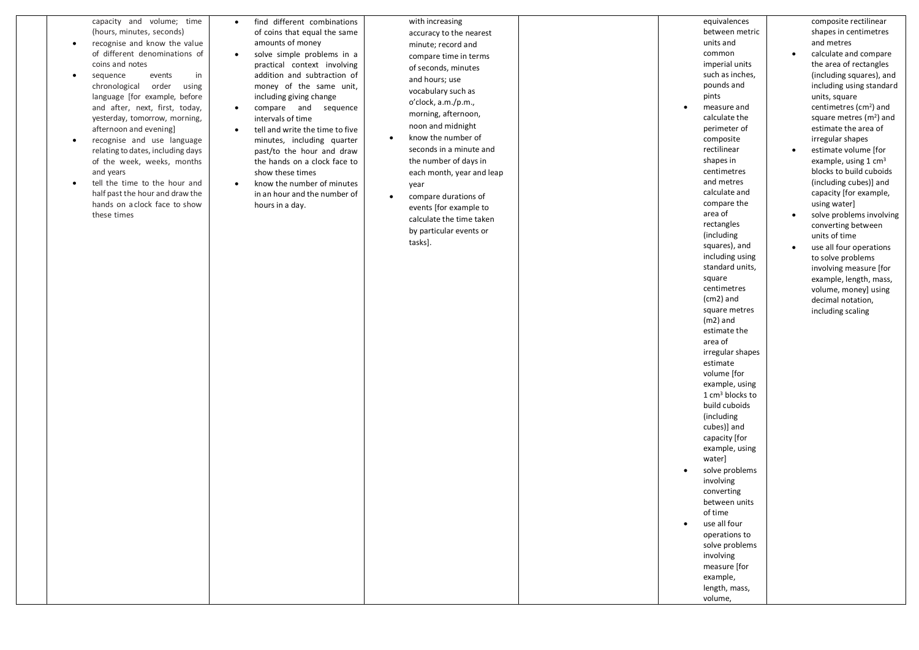| capacity and volume; time<br>(hours, minutes, seconds)<br>recognise and know the value<br>of different denominations of<br>coins and notes<br>sequence<br>events<br>in<br>using<br>chronological<br>order<br>language [for example, before<br>and after, next, first, today,<br>yesterday, tomorrow, morning,<br>afternoon and evening]<br>recognise and use language<br>$\bullet$<br>relating to dates, including days<br>of the week, weeks, months<br>and years<br>tell the time to the hour and<br>half past the hour and draw the<br>hands on a clock face to show<br>these times | find different combinations<br>$\bullet$<br>of coins that equal the same<br>amounts of money<br>solve simple problems in a<br>$\bullet$<br>practical context involving<br>addition and subtraction of<br>money of the same unit,<br>including giving change<br>compare and sequence<br>$\bullet$<br>intervals of time<br>tell and write the time to five<br>$\bullet$<br>minutes, including quarter<br>past/to the hour and draw<br>the hands on a clock face to<br>show these times<br>know the number of minutes<br>$\bullet$<br>in an hour and the number of<br>hours in a day. | with increasing<br>accuracy to the nearest<br>minute; record and<br>compare time in terms<br>of seconds, minutes<br>and hours; use<br>vocabulary such as<br>o'clock, a.m./p.m.,<br>morning, afternoon,<br>noon and midnight<br>know the number of<br>$\bullet$<br>seconds in a minute and<br>the number of days in<br>each month, year and leap<br>year<br>compare durations of<br>$\bullet$<br>events [for example to<br>calculate the time taken<br>by particular events or<br>tasks]. | equivalences<br>between metric<br>units and<br>common<br>imperial units<br>such as inches,<br>pounds and<br>pints<br>measure and<br>$\bullet$<br>calculate the<br>perimeter of<br>composite<br>rectilinear<br>shapes in<br>centimetres<br>and metres<br>calculate and<br>compare the<br>area of<br>rectangles<br>(including<br>squares), and<br>including using<br>standard units,<br>square<br>centimetres<br>$(cm2)$ and<br>square metres<br>$(m2)$ and<br>estimate the<br>area of<br>irregular shapes<br>estimate<br>volume [for<br>example, using<br>$1 \text{ cm}^3$ blocks to<br>build cuboids<br>(including<br>cubes)] and<br>capacity [for<br>example, using<br>water]<br>solve problems<br>$\bullet$<br>involving | composite rectilinear<br>shapes in centimetres<br>and metres<br>calculate and compare<br>$\bullet$<br>the area of rectangles<br>(including squares), and<br>including using standard<br>units, square<br>centimetres (cm <sup>2</sup> ) and<br>square metres $(m2)$ and<br>estimate the area of<br>irregular shapes<br>estimate volume [for<br>$\bullet$<br>example, using 1 $cm3$<br>blocks to build cuboids<br>(including cubes)] and<br>capacity [for example,<br>using water]<br>solve problems involving<br>$\bullet$<br>converting between<br>units of time<br>use all four operations<br>$\bullet$<br>to solve problems<br>involving measure [for<br>example, length, mass,<br>volume, money] using<br>decimal notation,<br>including scaling |
|----------------------------------------------------------------------------------------------------------------------------------------------------------------------------------------------------------------------------------------------------------------------------------------------------------------------------------------------------------------------------------------------------------------------------------------------------------------------------------------------------------------------------------------------------------------------------------------|------------------------------------------------------------------------------------------------------------------------------------------------------------------------------------------------------------------------------------------------------------------------------------------------------------------------------------------------------------------------------------------------------------------------------------------------------------------------------------------------------------------------------------------------------------------------------------|------------------------------------------------------------------------------------------------------------------------------------------------------------------------------------------------------------------------------------------------------------------------------------------------------------------------------------------------------------------------------------------------------------------------------------------------------------------------------------------|----------------------------------------------------------------------------------------------------------------------------------------------------------------------------------------------------------------------------------------------------------------------------------------------------------------------------------------------------------------------------------------------------------------------------------------------------------------------------------------------------------------------------------------------------------------------------------------------------------------------------------------------------------------------------------------------------------------------------|------------------------------------------------------------------------------------------------------------------------------------------------------------------------------------------------------------------------------------------------------------------------------------------------------------------------------------------------------------------------------------------------------------------------------------------------------------------------------------------------------------------------------------------------------------------------------------------------------------------------------------------------------------------------------------------------------------------------------------------------------|
|                                                                                                                                                                                                                                                                                                                                                                                                                                                                                                                                                                                        |                                                                                                                                                                                                                                                                                                                                                                                                                                                                                                                                                                                    |                                                                                                                                                                                                                                                                                                                                                                                                                                                                                          | converting<br>between units<br>of time<br>use all four<br>$\bullet$<br>operations to<br>solve problems<br>involving<br>measure [for<br>example,<br>length, mass,                                                                                                                                                                                                                                                                                                                                                                                                                                                                                                                                                           |                                                                                                                                                                                                                                                                                                                                                                                                                                                                                                                                                                                                                                                                                                                                                      |
|                                                                                                                                                                                                                                                                                                                                                                                                                                                                                                                                                                                        |                                                                                                                                                                                                                                                                                                                                                                                                                                                                                                                                                                                    |                                                                                                                                                                                                                                                                                                                                                                                                                                                                                          | volume,                                                                                                                                                                                                                                                                                                                                                                                                                                                                                                                                                                                                                                                                                                                    |                                                                                                                                                                                                                                                                                                                                                                                                                                                                                                                                                                                                                                                                                                                                                      |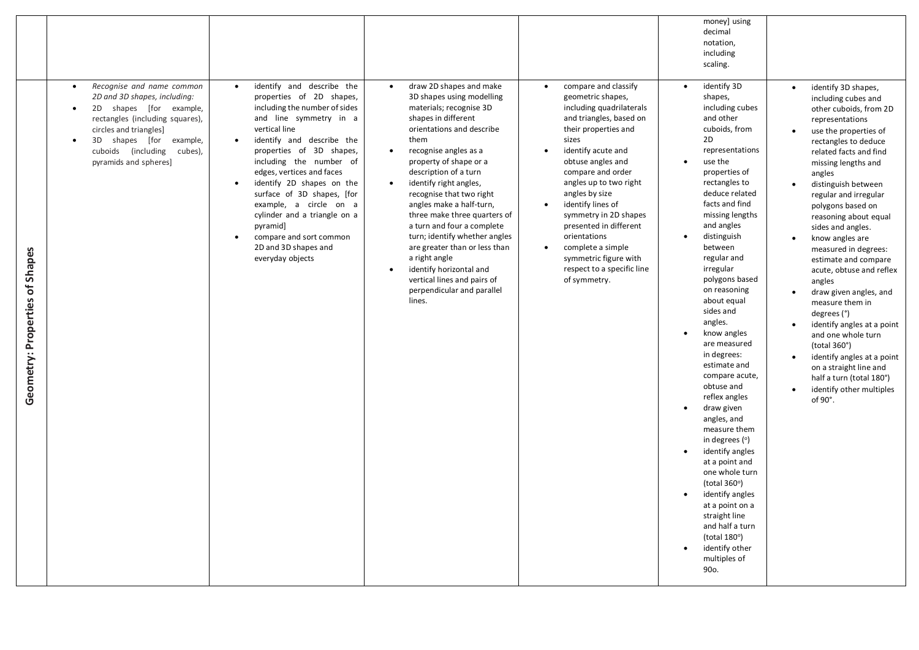|                                |                                                                                                                                                                                                                                                                               |                                                                                                                                                                                                                                                                                                                                                                                                                                                                                      |                                                                                                                                                                                                                                                                                                                                                                                                                                                                                                                                                                                                                  |                                                                                                                                                                                                                                                                                                                                                                                                                                                                          | money] using<br>decimal<br>notation,<br>including<br>scaling.                                                                                                                                                                                                                                                                                                                                                                                                                                                                                                                                                                                                                                                                                                                                     |                                                                                                                                                                                                                                                                                                                                                                                                                                                                                                                                                                                                                                                                                                                                             |
|--------------------------------|-------------------------------------------------------------------------------------------------------------------------------------------------------------------------------------------------------------------------------------------------------------------------------|--------------------------------------------------------------------------------------------------------------------------------------------------------------------------------------------------------------------------------------------------------------------------------------------------------------------------------------------------------------------------------------------------------------------------------------------------------------------------------------|------------------------------------------------------------------------------------------------------------------------------------------------------------------------------------------------------------------------------------------------------------------------------------------------------------------------------------------------------------------------------------------------------------------------------------------------------------------------------------------------------------------------------------------------------------------------------------------------------------------|--------------------------------------------------------------------------------------------------------------------------------------------------------------------------------------------------------------------------------------------------------------------------------------------------------------------------------------------------------------------------------------------------------------------------------------------------------------------------|---------------------------------------------------------------------------------------------------------------------------------------------------------------------------------------------------------------------------------------------------------------------------------------------------------------------------------------------------------------------------------------------------------------------------------------------------------------------------------------------------------------------------------------------------------------------------------------------------------------------------------------------------------------------------------------------------------------------------------------------------------------------------------------------------|---------------------------------------------------------------------------------------------------------------------------------------------------------------------------------------------------------------------------------------------------------------------------------------------------------------------------------------------------------------------------------------------------------------------------------------------------------------------------------------------------------------------------------------------------------------------------------------------------------------------------------------------------------------------------------------------------------------------------------------------|
| Geometry: Properties of Shapes | Recognise and name common<br>$\bullet$<br>2D and 3D shapes, including:<br>2D shapes [for example,<br>$\bullet$<br>rectangles (including squares),<br>circles and triangles]<br>3D<br>shapes [for example,<br>$\bullet$<br>cuboids (including cubes),<br>pyramids and spheres] | identify and describe the<br>$\bullet$<br>properties of 2D shapes,<br>including the number of sides<br>and line symmetry in a<br>vertical line<br>identify and describe the<br>$\bullet$<br>properties of 3D shapes,<br>including the number of<br>edges, vertices and faces<br>identify 2D shapes on the<br>surface of 3D shapes, [for<br>example, a circle on a<br>cylinder and a triangle on a<br>pyramid]<br>compare and sort common<br>2D and 3D shapes and<br>everyday objects | draw 2D shapes and make<br>$\bullet$<br>3D shapes using modelling<br>materials; recognise 3D<br>shapes in different<br>orientations and describe<br>them<br>recognise angles as a<br>$\bullet$<br>property of shape or a<br>description of a turn<br>identify right angles,<br>$\bullet$<br>recognise that two right<br>angles make a half-turn,<br>three make three quarters of<br>a turn and four a complete<br>turn; identify whether angles<br>are greater than or less than<br>a right angle<br>identify horizontal and<br>$\bullet$<br>vertical lines and pairs of<br>perpendicular and parallel<br>lines. | compare and classify<br>$\bullet$<br>geometric shapes,<br>including quadrilaterals<br>and triangles, based on<br>their properties and<br>sizes<br>identify acute and<br>obtuse angles and<br>compare and order<br>angles up to two right<br>angles by size<br>identify lines of<br>$\bullet$<br>symmetry in 2D shapes<br>presented in different<br>orientations<br>complete a simple<br>$\bullet$<br>symmetric figure with<br>respect to a specific line<br>of symmetry. | identify 3D<br>$\bullet$<br>shapes,<br>including cubes<br>and other<br>cuboids, from<br>2D<br>representations<br>use the<br>properties of<br>rectangles to<br>deduce related<br>facts and find<br>missing lengths<br>and angles<br>distinguish<br>between<br>regular and<br>irregular<br>polygons based<br>on reasoning<br>about equal<br>sides and<br>angles.<br>know angles<br>are measured<br>in degrees:<br>estimate and<br>compare acute,<br>obtuse and<br>reflex angles<br>$\bullet$<br>draw given<br>angles, and<br>measure them<br>in degrees (°)<br>identify angles<br>at a point and<br>one whole turn<br>(total $360^\circ$ )<br>identify angles<br>$\bullet$<br>at a point on a<br>straight line<br>and half a turn<br>(total $180^\circ$ )<br>identify other<br>multiples of<br>90o. | identify 3D shapes,<br>$\bullet$<br>including cubes and<br>other cuboids, from 2D<br>representations<br>use the properties of<br>rectangles to deduce<br>related facts and find<br>missing lengths and<br>angles<br>distinguish between<br>regular and irregular<br>polygons based on<br>reasoning about equal<br>sides and angles.<br>know angles are<br>measured in degrees:<br>estimate and compare<br>acute, obtuse and reflex<br>angles<br>draw given angles, and<br>measure them in<br>degrees $(°)$<br>identify angles at a point<br>and one whole turn<br>(total $360^\circ$ )<br>identify angles at a point<br>$\bullet$<br>on a straight line and<br>half a turn (total 180°)<br>identify other multiples<br>$\bullet$<br>of 90°. |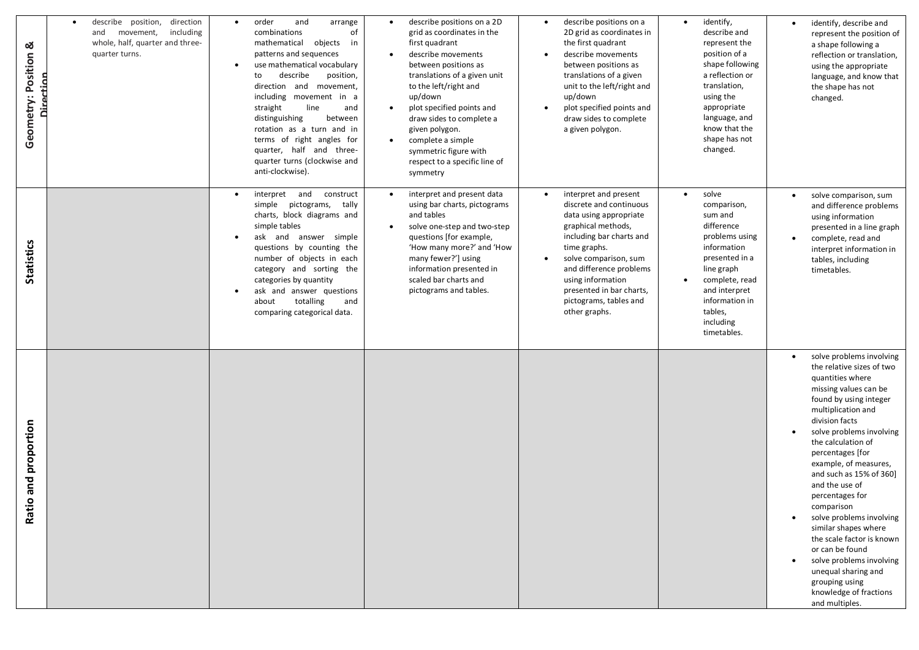| ೲ<br>Geometry: Position              | describe position, direction<br>$\bullet$<br>and<br>movement, including<br>whole, half, quarter and three-<br>quarter turns.<br>Direction | order<br>and<br>arrange<br>of<br>combinations<br>mathematical<br>objects in<br>patterns and sequences<br>use mathematical vocabulary<br>describe<br>position,<br>to<br>direction and movement,<br>including movement in a<br>line<br>straight<br>and<br>distinguishing<br>between<br>rotation as a turn and in<br>terms of right angles for<br>quarter, half and three-<br>quarter turns (clockwise and<br>anti-clockwise). | describe positions on a 2D<br>$\bullet$<br>grid as coordinates in the<br>first quadrant<br>describe movements<br>between positions as<br>translations of a given unit<br>to the left/right and<br>up/down<br>plot specified points and<br>draw sides to complete a<br>given polygon.<br>complete a simple<br>symmetric figure with<br>respect to a specific line of<br>symmetry | describe positions on a<br>$\bullet$<br>2D grid as coordinates in<br>the first quadrant<br>describe movements<br>$\bullet$<br>between positions as<br>translations of a given<br>unit to the left/right and<br>up/down<br>plot specified points and<br>$\bullet$<br>draw sides to complete<br>a given polygon.         | identify,<br>$\bullet$<br>describe and<br>represent the<br>position of a<br>shape following<br>a reflection or<br>translation,<br>using the<br>appropriate<br>language, and<br>know that the<br>shape has not<br>changed.            | identify, describe and<br>$\bullet$<br>represent the position of<br>a shape following a<br>reflection or translation,<br>using the appropriate<br>language, and know that<br>the shape has not<br>changed.                                                                                                                                                                                                                                                                                                                                                                             |
|--------------------------------------|-------------------------------------------------------------------------------------------------------------------------------------------|-----------------------------------------------------------------------------------------------------------------------------------------------------------------------------------------------------------------------------------------------------------------------------------------------------------------------------------------------------------------------------------------------------------------------------|---------------------------------------------------------------------------------------------------------------------------------------------------------------------------------------------------------------------------------------------------------------------------------------------------------------------------------------------------------------------------------|------------------------------------------------------------------------------------------------------------------------------------------------------------------------------------------------------------------------------------------------------------------------------------------------------------------------|--------------------------------------------------------------------------------------------------------------------------------------------------------------------------------------------------------------------------------------|----------------------------------------------------------------------------------------------------------------------------------------------------------------------------------------------------------------------------------------------------------------------------------------------------------------------------------------------------------------------------------------------------------------------------------------------------------------------------------------------------------------------------------------------------------------------------------------|
| <b>Statistics</b>                    |                                                                                                                                           | interpret and<br>construct<br>$\bullet$<br>simple pictograms,<br>tally<br>charts, block diagrams and<br>simple tables<br>ask and answer simple<br>questions by counting the<br>number of objects in each<br>category and sorting the<br>categories by quantity<br>ask and answer questions<br>totalling<br>about<br>and<br>comparing categorical data.                                                                      | interpret and present data<br>$\bullet$<br>using bar charts, pictograms<br>and tables<br>solve one-step and two-step<br>$\bullet$<br>questions [for example,<br>'How many more?' and 'How<br>many fewer?'] using<br>information presented in<br>scaled bar charts and<br>pictograms and tables.                                                                                 | interpret and present<br>$\bullet$<br>discrete and continuous<br>data using appropriate<br>graphical methods,<br>including bar charts and<br>time graphs.<br>solve comparison, sum<br>$\bullet$<br>and difference problems<br>using information<br>presented in bar charts,<br>pictograms, tables and<br>other graphs. | solve<br>$\bullet$<br>comparison,<br>sum and<br>difference<br>problems using<br>information<br>presented in a<br>line graph<br>complete, read<br>$\bullet$<br>and interpret<br>information in<br>tables,<br>including<br>timetables. | solve comparison, sum<br>$\bullet$<br>and difference problems<br>using information<br>presented in a line graph<br>complete, read and<br>interpret information in<br>tables, including<br>timetables.                                                                                                                                                                                                                                                                                                                                                                                  |
| proportion<br>and<br>$\circ$<br>Rati |                                                                                                                                           |                                                                                                                                                                                                                                                                                                                                                                                                                             |                                                                                                                                                                                                                                                                                                                                                                                 |                                                                                                                                                                                                                                                                                                                        |                                                                                                                                                                                                                                      | solve problems involving<br>the relative sizes of two<br>quantities where<br>missing values can be<br>found by using integer<br>multiplication and<br>division facts<br>solve problems involving<br>the calculation of<br>percentages [for<br>example, of measures,<br>and such as $15\%$ of 360]<br>and the use of<br>percentages for<br>comparison<br>solve problems involving<br>$\bullet$<br>similar shapes where<br>the scale factor is known<br>or can be found<br>solve problems involving<br>unequal sharing and<br>grouping using<br>knowledge of fractions<br>and multiples. |